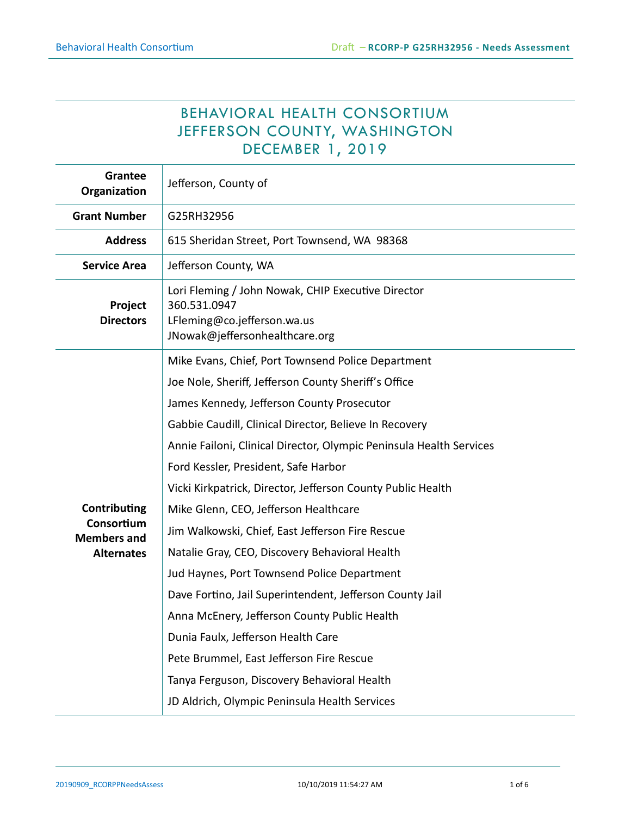# BEHAVIORAL HEALTH CONSORTIUM JEFFERSON COUNTY, WASHINGTON DECEMBER 1, 2019

| <b>Grantee</b><br>Organization                                        | Jefferson, County of                                                                                                                |
|-----------------------------------------------------------------------|-------------------------------------------------------------------------------------------------------------------------------------|
| <b>Grant Number</b>                                                   | G25RH32956                                                                                                                          |
| <b>Address</b>                                                        | 615 Sheridan Street, Port Townsend, WA 98368                                                                                        |
| <b>Service Area</b>                                                   | Jefferson County, WA                                                                                                                |
| Project<br><b>Directors</b>                                           | Lori Fleming / John Nowak, CHIP Executive Director<br>360.531.0947<br>LFleming@co.jefferson.wa.us<br>JNowak@jeffersonhealthcare.org |
| Contributing<br>Consortium<br><b>Members and</b><br><b>Alternates</b> | Mike Evans, Chief, Port Townsend Police Department                                                                                  |
|                                                                       | Joe Nole, Sheriff, Jefferson County Sheriff's Office                                                                                |
|                                                                       | James Kennedy, Jefferson County Prosecutor                                                                                          |
|                                                                       | Gabbie Caudill, Clinical Director, Believe In Recovery                                                                              |
|                                                                       | Annie Failoni, Clinical Director, Olympic Peninsula Health Services                                                                 |
|                                                                       | Ford Kessler, President, Safe Harbor                                                                                                |
|                                                                       | Vicki Kirkpatrick, Director, Jefferson County Public Health                                                                         |
|                                                                       | Mike Glenn, CEO, Jefferson Healthcare                                                                                               |
|                                                                       | Jim Walkowski, Chief, East Jefferson Fire Rescue                                                                                    |
|                                                                       | Natalie Gray, CEO, Discovery Behavioral Health                                                                                      |
|                                                                       | Jud Haynes, Port Townsend Police Department                                                                                         |
|                                                                       | Dave Fortino, Jail Superintendent, Jefferson County Jail                                                                            |
|                                                                       | Anna McEnery, Jefferson County Public Health                                                                                        |
|                                                                       | Dunia Faulx, Jefferson Health Care                                                                                                  |
|                                                                       | Pete Brummel, East Jefferson Fire Rescue                                                                                            |
|                                                                       | Tanya Ferguson, Discovery Behavioral Health                                                                                         |
|                                                                       | JD Aldrich, Olympic Peninsula Health Services                                                                                       |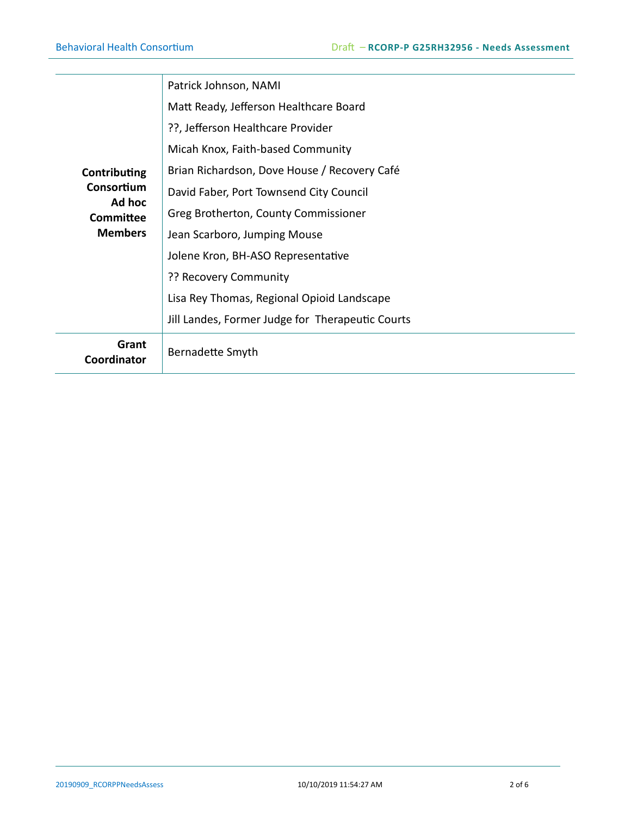| Contributing<br>Consortium<br>Ad hoc<br><b>Committee</b><br><b>Members</b> | Patrick Johnson, NAMI                            |
|----------------------------------------------------------------------------|--------------------------------------------------|
|                                                                            | Matt Ready, Jefferson Healthcare Board           |
|                                                                            | ??, Jefferson Healthcare Provider                |
|                                                                            | Micah Knox, Faith-based Community                |
|                                                                            | Brian Richardson, Dove House / Recovery Café     |
|                                                                            | David Faber, Port Townsend City Council          |
|                                                                            | Greg Brotherton, County Commissioner             |
|                                                                            | Jean Scarboro, Jumping Mouse                     |
|                                                                            | Jolene Kron, BH-ASO Representative               |
|                                                                            | ?? Recovery Community                            |
|                                                                            | Lisa Rey Thomas, Regional Opioid Landscape       |
|                                                                            | Jill Landes, Former Judge for Therapeutic Courts |
| Grant<br>Coordinator                                                       | Bernadette Smyth                                 |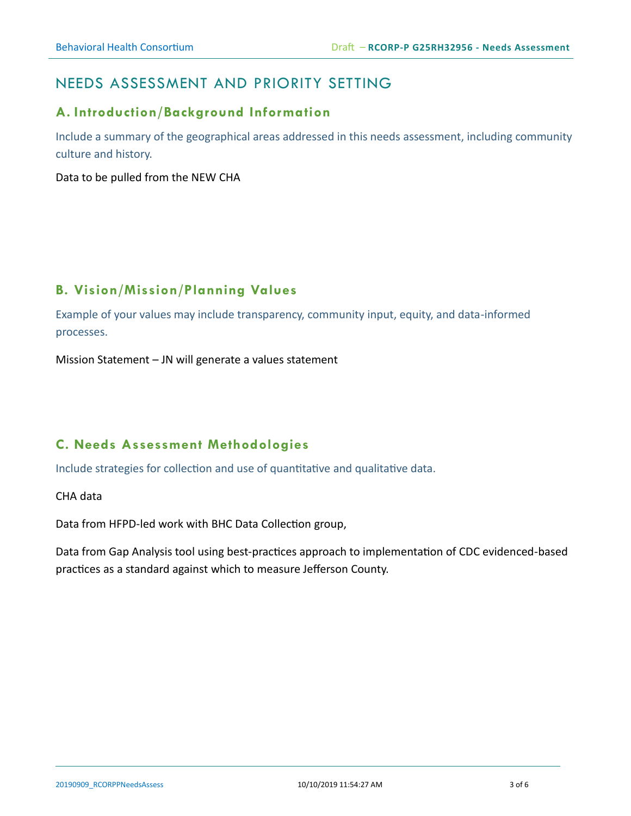## NEEDS ASSESSMENT AND PRIORITY SETTING

#### **A. Introduction/Background Information**

Include a summary of the geographical areas addressed in this needs assessment, including community culture and history.

Data to be pulled from the NEW CHA

## **B. Vision/Mission/Planning Values**

Example of your values may include transparency, community input, equity, and data-informed processes.

Mission Statement – JN will generate a values statement

## **C. Needs Assessment Methodologies**

Include strategies for collection and use of quantitative and qualitative data.

CHA data

Data from HFPD-led work with BHC Data Collection group,

Data from Gap Analysis tool using best-practices approach to implementation of CDC evidenced-based practices as a standard against which to measure Jefferson County.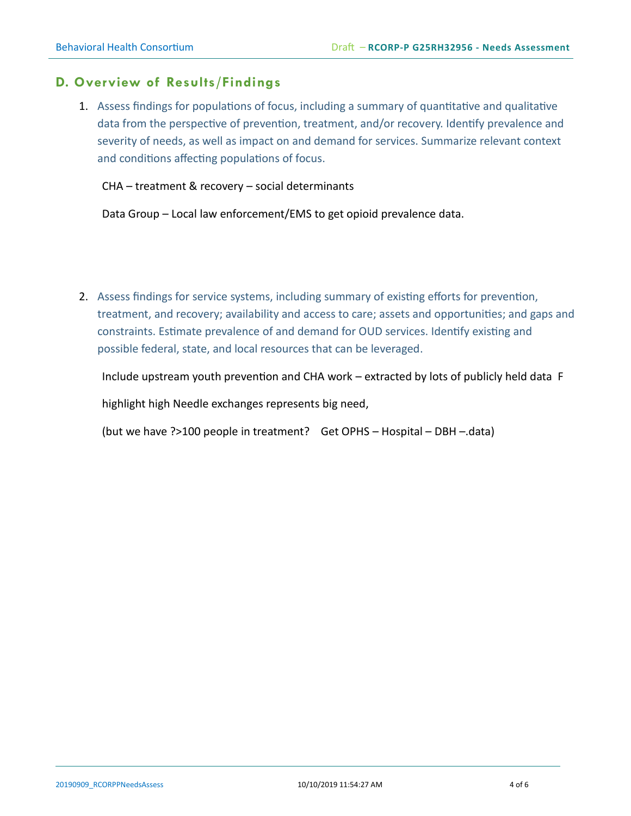#### **D. Overview of Results/Findings**

1. Assess findings for populations of focus, including a summary of quantitative and qualitative data from the perspective of prevention, treatment, and/or recovery. Identify prevalence and severity of needs, as well as impact on and demand for services. Summarize relevant context and conditions affecting populations of focus.

CHA – treatment & recovery – social determinants

Data Group – Local law enforcement/EMS to get opioid prevalence data.

2. Assess findings for service systems, including summary of existing efforts for prevention, treatment, and recovery; availability and access to care; assets and opportunities; and gaps and constraints. Estimate prevalence of and demand for OUD services. Identify existing and possible federal, state, and local resources that can be leveraged.

Include upstream youth prevention and CHA work – extracted by lots of publicly held data F

highlight high Needle exchanges represents big need,

(but we have ?>100 people in treatment? Get OPHS – Hospital – DBH –.data)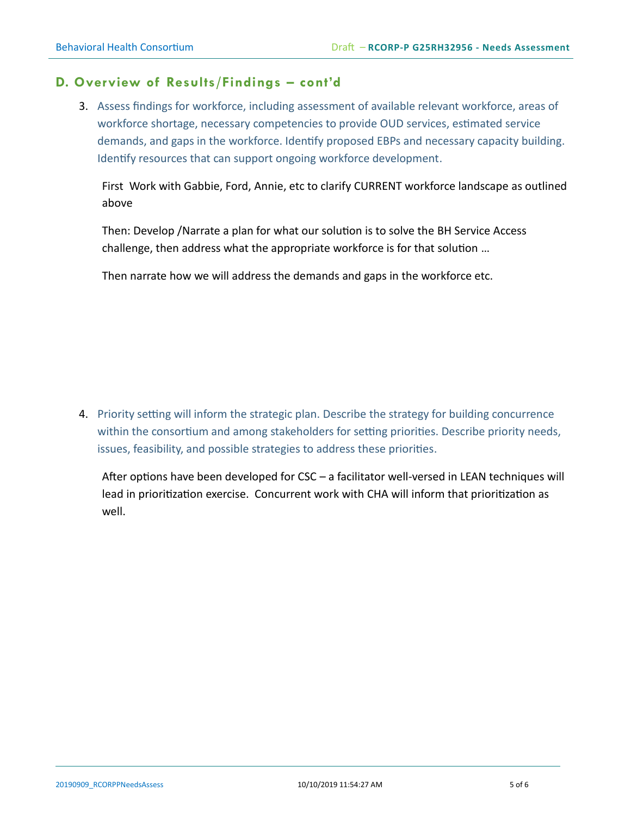#### **D. Overview of Results/Findings – cont'd**

3. Assess findings for workforce, including assessment of available relevant workforce, areas of workforce shortage, necessary competencies to provide OUD services, estimated service demands, and gaps in the workforce. Identify proposed EBPs and necessary capacity building. Identify resources that can support ongoing workforce development.

First Work with Gabbie, Ford, Annie, etc to clarify CURRENT workforce landscape as outlined above

Then: Develop /Narrate a plan for what our solution is to solve the BH Service Access challenge, then address what the appropriate workforce is for that solution …

Then narrate how we will address the demands and gaps in the workforce etc.

4. Priority setting will inform the strategic plan. Describe the strategy for building concurrence within the consortium and among stakeholders for setting priorities. Describe priority needs, issues, feasibility, and possible strategies to address these priorities.

After options have been developed for CSC – a facilitator well-versed in LEAN techniques will lead in prioritization exercise. Concurrent work with CHA will inform that prioritization as well.